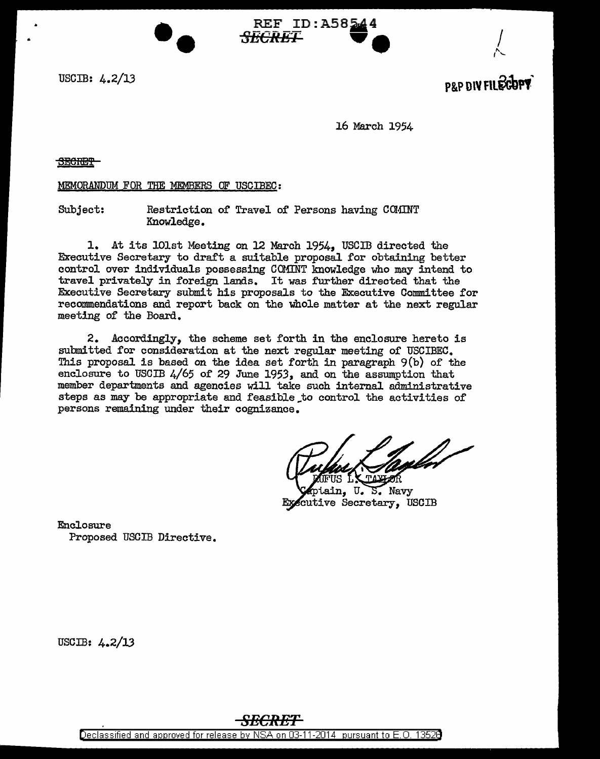

 $\sim$ 

J.6 March 1954

**REF** ID:A58544

REF ID:A58544<br><del>RECRET</del>

SEGRET<sup>-</sup>

MEMORANDUM FOR THE MEMBERS OF USCIBEC:

••

Subject: Restriction of Travel of Persons having COMINT Knowledge.

1. At its lOlst Meeting on 12 March 1954, USCID directed the Executive Secretary to draft a suitable proposal for obtaining better control over individuals possessing CO.MINT knowledge who may intend to travel privately in foreign lands. It was further directed that the Executive Secretary submit his proposals to the Executive Committee for recommendations and report back on the whole matter at the next regular meeting of the Board.

2. Accordingly, the scheme set forth in the enclosure hereto is submitted for consideration at the next regular meeting of USCIBEC. This proposal is based on the idea set forth in paragraph 9(b) of the enclosure to USCIB 4/65 of 29 June 1953, and on the assumption that member departments and agencies will take such internal administrative steps as may be appropriate and feasible\_to control the activities of persons remaining under their cognizance.

ptain. U. S. Navy Executive Secretary, USCIB

Enclosure Proposed USCIB Directive.

USCIB: 4.2/13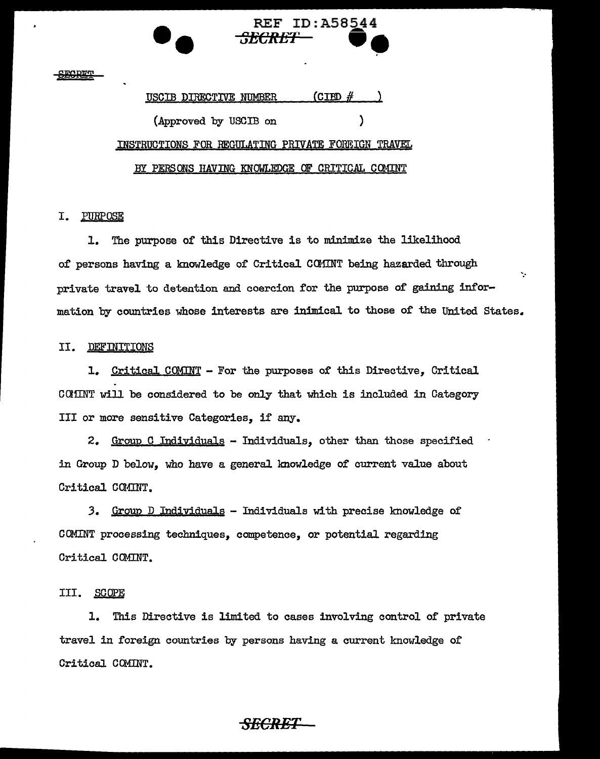### **SECRET**

# (CIBD  $#$ USCIB DIRECTIVE NUMBER ١ (Approved by USCIB on INSTRUCTIONS FOR REGULATING PRIVATE FOREIGN TRAVEL BY PERSONS HAVING KNOWLEDGE OF CRITICAL COMINT

#### PURPOSE I.

1. The purpose of this Directive is to minimize the likelihood of persons having a knowledge of Critical COMINT being hazarded through Ÿ. private travel to detention and coercion for the purpose of gaining information by countries whose interests are inimical to those of the United States.

**REF ID:A58544** 

#### **DEFINITIONS** II.

1. Critical COMINT - For the purposes of this Directive. Critical COMINT will be considered to be only that which is included in Category III or more sensitive Categories, if any.

2. Group C Individuals - Individuals, other than those specified in Group D below, who have a general knowledge of current value about Critical COMINT.

3. Group D Individuals - Individuals with precise knowledge of COMINT processing techniques, competence, or potential regarding Critical COMINT.

#### III. SCOPE

1. This Directive is limited to cases involving control of private travel in foreign countries by persons having a current knowledge of Critical COMINT.

## <del>SECRET</del>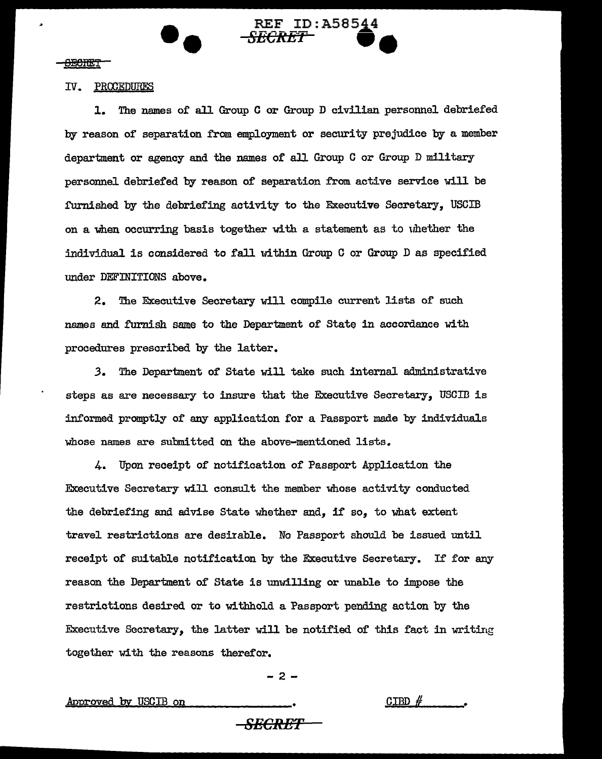### IV. PROOEDURES

--

**l.** The names of all Group C or Group D civilian personnel debriefed by reason of separation from employment or security prejudice by a member department or agency and the names or all Group C or Group D military personnel debriefed by reason of separation from active service will be furnished by the debriefing activity to the Executive Secretary, USCIB on a when occurring basis together with a statement as to uhether the individual is considered to fall within Group C or Group D as specified under DEFINITIONS above.

 $REF$  ID: A58544 **REF ID:A58544** 

2. The Executive Secretary will compile current lists of such names and furnish same to the Department of State in accordance with procedures prescribed by the latter.

*3.* The Department of State will take such internal administrative steps as are necessary to insure that the Executive Secretary, USCID is informed promptly of any application for a Passport made by individuals whose names are submitted on the above-mentioned lists.

4. Upon receipt of notification of Passport Application the Executive Secretary will consult the member whose activity conducted the debriefing and advise State whether and, if so, to what extent travel restrictions are desirable. No Passport should be issued until receipt of suitable notification by the Executive Secretary. If for any reason the Department of State is unwilling or unable to impose the restrictions desired or to withhold a Passport pending action by the Executive Secretary, the latter will be notified of this fact in writing together with the reasons therefor.

 $-2 -$ 

Approved by USCIB on

 $GJBD \n#$ 

*8ECR-ET*